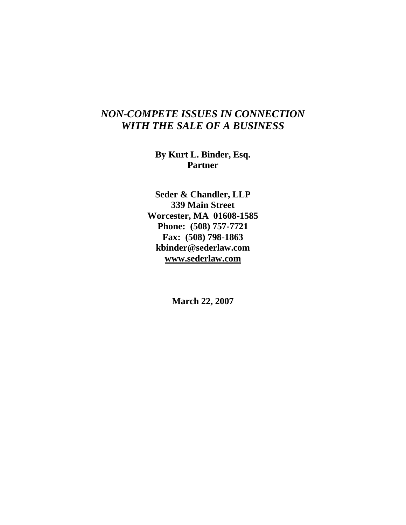# *NON-COMPETE ISSUES IN CONNECTION WITH THE SALE OF A BUSINESS*

**By Kurt L. Binder, Esq. Partner**

**Seder & Chandler, LLP 339 Main Street Worcester, MA 01608-1585 Phone: (508) 757-7721 Fax: (508) 798-1863 kbinder@sederlaw.com www.sederlaw.com**

**March 22, 2007**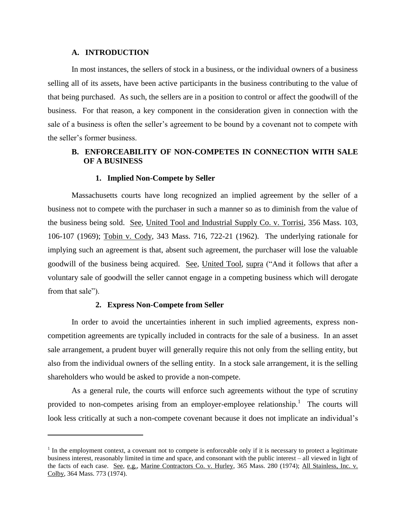### **A. INTRODUCTION**

In most instances, the sellers of stock in a business, or the individual owners of a business selling all of its assets, have been active participants in the business contributing to the value of that being purchased. As such, the sellers are in a position to control or affect the goodwill of the business. For that reason, a key component in the consideration given in connection with the sale of a business is often the seller's agreement to be bound by a covenant not to compete with the seller's former business.

# **B. ENFORCEABILITY OF NON-COMPETES IN CONNECTION WITH SALE OF A BUSINESS**

### **1. Implied Non-Compete by Seller**

Massachusetts courts have long recognized an implied agreement by the seller of a business not to compete with the purchaser in such a manner so as to diminish from the value of the business being sold. See, United Tool and Industrial Supply Co. v. Torrisi, 356 Mass. 103, 106-107 (1969); Tobin v. Cody, 343 Mass. 716, 722-21 (1962). The underlying rationale for implying such an agreement is that, absent such agreement, the purchaser will lose the valuable goodwill of the business being acquired. See, United Tool, supra ("And it follows that after a voluntary sale of goodwill the seller cannot engage in a competing business which will derogate from that sale").

### **2. Express Non-Compete from Seller**

 $\overline{a}$ 

In order to avoid the uncertainties inherent in such implied agreements, express noncompetition agreements are typically included in contracts for the sale of a business. In an asset sale arrangement, a prudent buyer will generally require this not only from the selling entity, but also from the individual owners of the selling entity. In a stock sale arrangement, it is the selling shareholders who would be asked to provide a non-compete.

As a general rule, the courts will enforce such agreements without the type of scrutiny provided to non-competes arising from an employer-employee relationship.<sup>1</sup> The courts will look less critically at such a non-compete covenant because it does not implicate an individual's

 $<sup>1</sup>$  In the employment context, a covenant not to compete is enforceable only if it is necessary to protect a legitimate</sup> business interest, reasonably limited in time and space, and consonant with the public interest – all viewed in light of the facts of each case. See, e.g., Marine Contractors Co. v. Hurley, 365 Mass. 280 (1974); All Stainless, Inc. v. Colby, 364 Mass. 773 (1974).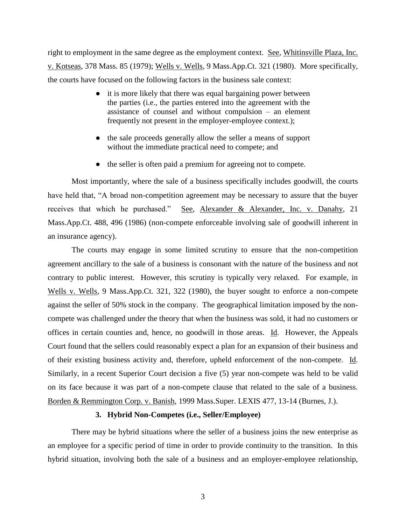right to employment in the same degree as the employment context. See, Whitinsville Plaza, Inc. v. Kotseas, 378 Mass. 85 (1979); Wells v. Wells, 9 Mass.App.Ct. 321 (1980). More specifically, the courts have focused on the following factors in the business sale context:

- it is more likely that there was equal bargaining power between the parties (i.e., the parties entered into the agreement with the assistance of counsel and without compulsion – an element frequently not present in the employer-employee context.);
- the sale proceeds generally allow the seller a means of support without the immediate practical need to compete; and
- the seller is often paid a premium for agreeing not to compete.

Most importantly, where the sale of a business specifically includes goodwill, the courts have held that, "A broad non-competition agreement may be necessary to assure that the buyer receives that which he purchased." See, Alexander & Alexander, Inc. v. Danahy, 21 Mass.App.Ct. 488, 496 (1986) (non-compete enforceable involving sale of goodwill inherent in an insurance agency).

The courts may engage in some limited scrutiny to ensure that the non-competition agreement ancillary to the sale of a business is consonant with the nature of the business and not contrary to public interest. However, this scrutiny is typically very relaxed. For example, in Wells v. Wells, 9 Mass.App.Ct. 321, 322 (1980), the buyer sought to enforce a non-compete against the seller of 50% stock in the company. The geographical limitation imposed by the noncompete was challenged under the theory that when the business was sold, it had no customers or offices in certain counties and, hence, no goodwill in those areas. Id. However, the Appeals Court found that the sellers could reasonably expect a plan for an expansion of their business and of their existing business activity and, therefore, upheld enforcement of the non-compete. Id. Similarly, in a recent Superior Court decision a five (5) year non-compete was held to be valid on its face because it was part of a non-compete clause that related to the sale of a business. Borden & Remmington Corp. v. Banish, 1999 Mass.Super. LEXIS 477, 13-14 (Burnes, J.).

### **3. Hybrid Non-Competes (i.e., Seller/Employee)**

There may be hybrid situations where the seller of a business joins the new enterprise as an employee for a specific period of time in order to provide continuity to the transition. In this hybrid situation, involving both the sale of a business and an employer-employee relationship,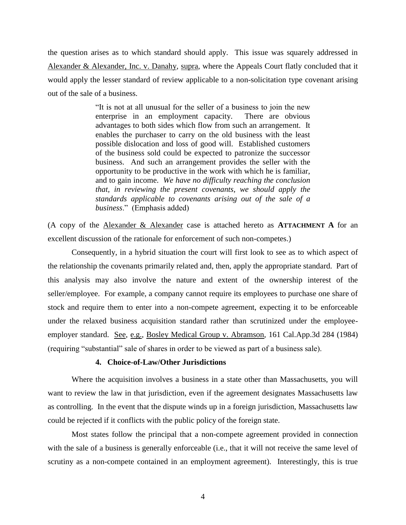the question arises as to which standard should apply. This issue was squarely addressed in Alexander & Alexander, Inc. v. Danahy, supra, where the Appeals Court flatly concluded that it would apply the lesser standard of review applicable to a non-solicitation type covenant arising out of the sale of a business.

> "It is not at all unusual for the seller of a business to join the new enterprise in an employment capacity. There are obvious advantages to both sides which flow from such an arrangement. It enables the purchaser to carry on the old business with the least possible dislocation and loss of good will. Established customers of the business sold could be expected to patronize the successor business. And such an arrangement provides the seller with the opportunity to be productive in the work with which he is familiar, and to gain income. *We have no difficulty reaching the conclusion that, in reviewing the present covenants, we should apply the standards applicable to covenants arising out of the sale of a business*." (Emphasis added)

(A copy of the Alexander & Alexander case is attached hereto as **ATTACHMENT A** for an excellent discussion of the rationale for enforcement of such non-competes.)

Consequently, in a hybrid situation the court will first look to see as to which aspect of the relationship the covenants primarily related and, then, apply the appropriate standard. Part of this analysis may also involve the nature and extent of the ownership interest of the seller/employee. For example, a company cannot require its employees to purchase one share of stock and require them to enter into a non-compete agreement, expecting it to be enforceable under the relaxed business acquisition standard rather than scrutinized under the employeeemployer standard. See, e.g., Bosley Medical Group v. Abramson, 161 Cal.App.3d 284 (1984) (requiring "substantial" sale of shares in order to be viewed as part of a business sale).

### **4. Choice-of-Law/Other Jurisdictions**

Where the acquisition involves a business in a state other than Massachusetts, you will want to review the law in that jurisdiction, even if the agreement designates Massachusetts law as controlling. In the event that the dispute winds up in a foreign jurisdiction, Massachusetts law could be rejected if it conflicts with the public policy of the foreign state.

Most states follow the principal that a non-compete agreement provided in connection with the sale of a business is generally enforceable (i.e., that it will not receive the same level of scrutiny as a non-compete contained in an employment agreement). Interestingly, this is true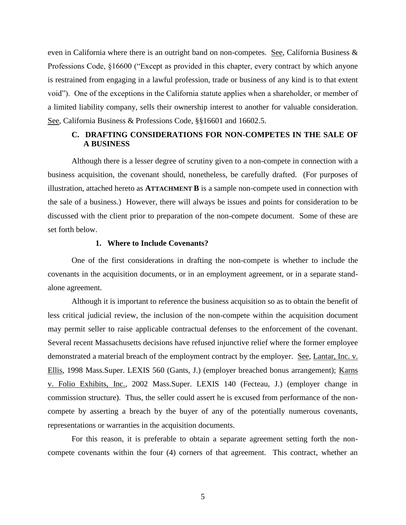even in California where there is an outright band on non-competes. See, California Business  $\&$ Professions Code, §16600 ("Except as provided in this chapter, every contract by which anyone is restrained from engaging in a lawful profession, trade or business of any kind is to that extent void"). One of the exceptions in the California statute applies when a shareholder, or member of a limited liability company, sells their ownership interest to another for valuable consideration. See, California Business & Professions Code, §§16601 and 16602.5.

# **C. DRAFTING CONSIDERATIONS FOR NON-COMPETES IN THE SALE OF A BUSINESS**

Although there is a lesser degree of scrutiny given to a non-compete in connection with a business acquisition, the covenant should, nonetheless, be carefully drafted. (For purposes of illustration, attached hereto as **ATTACHMENT B** is a sample non-compete used in connection with the sale of a business.) However, there will always be issues and points for consideration to be discussed with the client prior to preparation of the non-compete document. Some of these are set forth below.

### **1. Where to Include Covenants?**

One of the first considerations in drafting the non-compete is whether to include the covenants in the acquisition documents, or in an employment agreement, or in a separate standalone agreement.

Although it is important to reference the business acquisition so as to obtain the benefit of less critical judicial review, the inclusion of the non-compete within the acquisition document may permit seller to raise applicable contractual defenses to the enforcement of the covenant. Several recent Massachusetts decisions have refused injunctive relief where the former employee demonstrated a material breach of the employment contract by the employer. See, Lantar, Inc. v. Ellis, 1998 Mass.Super. LEXIS 560 (Gants, J.) (employer breached bonus arrangement); Karns v. Folio Exhibits, Inc., 2002 Mass.Super. LEXIS 140 (Fecteau, J.) (employer change in commission structure). Thus, the seller could assert he is excused from performance of the noncompete by asserting a breach by the buyer of any of the potentially numerous covenants, representations or warranties in the acquisition documents.

For this reason, it is preferable to obtain a separate agreement setting forth the noncompete covenants within the four (4) corners of that agreement. This contract, whether an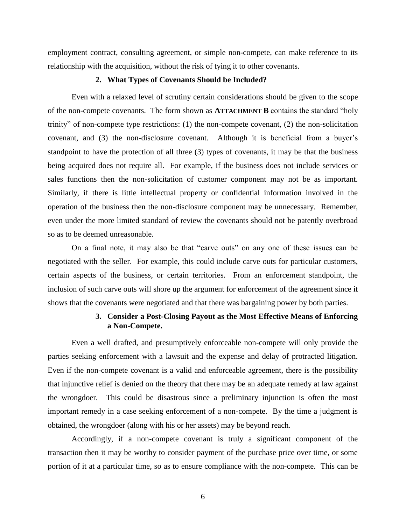employment contract, consulting agreement, or simple non-compete, can make reference to its relationship with the acquisition, without the risk of tying it to other covenants.

### **2. What Types of Covenants Should be Included?**

Even with a relaxed level of scrutiny certain considerations should be given to the scope of the non-compete covenants. The form shown as **ATTACHMENT B** contains the standard "holy trinity" of non-compete type restrictions: (1) the non-compete covenant, (2) the non-solicitation covenant, and (3) the non-disclosure covenant. Although it is beneficial from a buyer's standpoint to have the protection of all three (3) types of covenants, it may be that the business being acquired does not require all. For example, if the business does not include services or sales functions then the non-solicitation of customer component may not be as important. Similarly, if there is little intellectual property or confidential information involved in the operation of the business then the non-disclosure component may be unnecessary. Remember, even under the more limited standard of review the covenants should not be patently overbroad so as to be deemed unreasonable.

On a final note, it may also be that "carve outs" on any one of these issues can be negotiated with the seller. For example, this could include carve outs for particular customers, certain aspects of the business, or certain territories. From an enforcement standpoint, the inclusion of such carve outs will shore up the argument for enforcement of the agreement since it shows that the covenants were negotiated and that there was bargaining power by both parties.

# **3. Consider a Post-Closing Payout as the Most Effective Means of Enforcing a Non-Compete.**

Even a well drafted, and presumptively enforceable non-compete will only provide the parties seeking enforcement with a lawsuit and the expense and delay of protracted litigation. Even if the non-compete covenant is a valid and enforceable agreement, there is the possibility that injunctive relief is denied on the theory that there may be an adequate remedy at law against the wrongdoer. This could be disastrous since a preliminary injunction is often the most important remedy in a case seeking enforcement of a non-compete. By the time a judgment is obtained, the wrongdoer (along with his or her assets) may be beyond reach.

Accordingly, if a non-compete covenant is truly a significant component of the transaction then it may be worthy to consider payment of the purchase price over time, or some portion of it at a particular time, so as to ensure compliance with the non-compete. This can be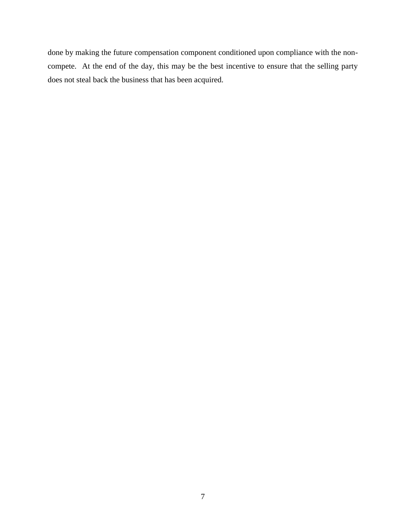done by making the future compensation component conditioned upon compliance with the noncompete. At the end of the day, this may be the best incentive to ensure that the selling party does not steal back the business that has been acquired.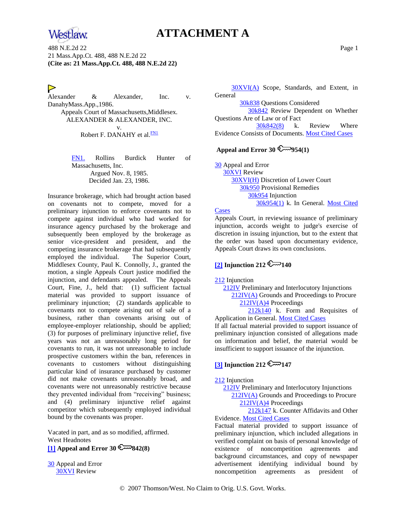

# **ATTACHMENT A**

488 N.E.2d 22 Page 1 21 Mass.App.Ct. 488, 488 N.E.2d 22 **(Cite as: 21 Mass.App.Ct. 488, 488 N.E.2d 22)**

# ▷

Alexander & Alexander, Inc. v. DanahyMass.App.,1986. Appeals Court of Massachusetts,Middlesex. ALEXANDER & ALEXANDER, INC. v. Robert F. DANAHY et al.<sup>[FN1](#page-7-0)</sup>

> <span id="page-7-0"></span>[FN1.](#page-7-1) Rollins Burdick Hunter of Massachusetts, Inc. Argued Nov. 8, 1985. Decided Jan. 23, 1986.

Insurance brokerage, which had brought action based on covenants not to compete, moved for a preliminary injunction to enforce covenants not to compete against individual who had worked for insurance agency purchased by the brokerage and subsequently been employed by the brokerage as senior vice-president and president, and the competing insurance brokerage that had subsequently employed the individual. The Superior Court, Middlesex County, Paul K. Connolly, J., granted the motion, a single Appeals Court justice modified the injunction, and defendants appealed. The Appeals Court, Fine, J., held that: (1) sufficient factual material was provided to support issuance of preliminary injunction; (2) standards applicable to covenants not to compete arising out of sale of a business, rather than covenants arising out of employee-employer relationship, should be applied; (3) for purposes of preliminary injunctive relief, five years was not an unreasonably long period for covenants to run, it was not unreasonable to include prospective customers within the ban, references in covenants to customers without distinguishing particular kind of insurance purchased by customer did not make covenants unreasonably broad, and covenants were not unreasonably restrictive because they prevented individual from "receiving" business; and (4) preliminary injunctive relief against competitor which subsequently employed individual bound by the covenants was proper.

Vacated in part, and as so modified, affirmed. West Headnotes

<span id="page-7-2"></span>**[\[1\]](#page-11-0) Appeal and Error 30 842(8)**

[30](http://www.westlaw.com/KeyNumber/Default.wl?rs=dfa1.0&vr=2.0&CMD=KEY&DocName=30) Appeal and Error [30XVI](http://www.westlaw.com/KeyNumber/Default.wl?rs=dfa1.0&vr=2.0&CMD=KEY&DocName=30XVI) Review

 [30XVI\(A\)](http://www.westlaw.com/KeyNumber/Default.wl?rs=dfa1.0&vr=2.0&CMD=KEY&DocName=30XVI%28A%29) Scope, Standards, and Extent, in General

[30k838](http://www.westlaw.com/KeyNumber/Default.wl?rs=dfa1.0&vr=2.0&CMD=KEY&DocName=30k838) Questions Considered

 [30k842](http://www.westlaw.com/KeyNumber/Default.wl?rs=dfa1.0&vr=2.0&CMD=KEY&DocName=30k842) Review Dependent on Whether Questions Are of Law or of Fact

<span id="page-7-1"></span> [30k842\(8\)](http://www.westlaw.com/KeyNumber/Default.wl?rs=dfa1.0&vr=2.0&CMD=KEY&DocName=30k842%288%29) k. Review Where Evidence Consists of Documents. [Most Cited Cases](http://www.westlaw.com/Digest/Default.wl?rs=dfa1.0&vr=2.0&CMD=MCC&DocName=30k842%288%29)

### Appeal and Error  $30 \leq 954(1)$

[30](http://www.westlaw.com/KeyNumber/Default.wl?rs=dfa1.0&vr=2.0&CMD=KEY&DocName=30) Appeal and Error [30XVI](http://www.westlaw.com/KeyNumber/Default.wl?rs=dfa1.0&vr=2.0&CMD=KEY&DocName=30XVI) Review [30XVI\(H\)](http://www.westlaw.com/KeyNumber/Default.wl?rs=dfa1.0&vr=2.0&CMD=KEY&DocName=30XVI%28H%29) Discretion of Lower Court [30k950](http://www.westlaw.com/KeyNumber/Default.wl?rs=dfa1.0&vr=2.0&CMD=KEY&DocName=30k950) Provisional Remedies [30k954](http://www.westlaw.com/KeyNumber/Default.wl?rs=dfa1.0&vr=2.0&CMD=KEY&DocName=30k954) Injunction [30k954\(1\)](http://www.westlaw.com/KeyNumber/Default.wl?rs=dfa1.0&vr=2.0&CMD=KEY&DocName=30k954%281%29) k. In General. [Most Cited](http://www.westlaw.com/Digest/Default.wl?rs=dfa1.0&vr=2.0&CMD=MCC&DocName=30k954%281%29) 

#### **[Cases](http://www.westlaw.com/Digest/Default.wl?rs=dfa1.0&vr=2.0&CMD=MCC&DocName=30k954%281%29)**

Appeals Court, in reviewing issuance of preliminary injunction, accords weight to judge's exercise of discretion in issuing injunction, but to the extent that the order was based upon documentary evidence, Appeals Court draws its own conclusions.

### <span id="page-7-3"></span> $\sqrt{21}$  Injunction 212

[212](http://www.westlaw.com/KeyNumber/Default.wl?rs=dfa1.0&vr=2.0&CMD=KEY&DocName=212) Injunction

 [212IV](http://www.westlaw.com/KeyNumber/Default.wl?rs=dfa1.0&vr=2.0&CMD=KEY&DocName=212IV) Preliminary and Interlocutory Injunctions [212IV\(A\)](http://www.westlaw.com/KeyNumber/Default.wl?rs=dfa1.0&vr=2.0&CMD=KEY&DocName=212IV%28A%29) Grounds and Proceedings to Procure [212IV\(A\)4](http://www.westlaw.com/KeyNumber/Default.wl?rs=dfa1.0&vr=2.0&CMD=KEY&DocName=212IV%28A%294) Proceedings

 [212k140](http://www.westlaw.com/KeyNumber/Default.wl?rs=dfa1.0&vr=2.0&CMD=KEY&DocName=212k140) k. Form and Requisites of Application in General[. Most Cited Cases](http://www.westlaw.com/Digest/Default.wl?rs=dfa1.0&vr=2.0&CMD=MCC&DocName=212k140)

If all factual material provided to support issuance of preliminary injunction consisted of allegations made on information and belief, the material would be insufficient to support issuance of the injunction.

# $\boxed{3}$  Injunction 212

#### [212](http://www.westlaw.com/KeyNumber/Default.wl?rs=dfa1.0&vr=2.0&CMD=KEY&DocName=212) Injunction

 [212IV](http://www.westlaw.com/KeyNumber/Default.wl?rs=dfa1.0&vr=2.0&CMD=KEY&DocName=212IV) Preliminary and Interlocutory Injunctions [212IV\(A\)](http://www.westlaw.com/KeyNumber/Default.wl?rs=dfa1.0&vr=2.0&CMD=KEY&DocName=212IV%28A%29) Grounds and Proceedings to Procure [212IV\(A\)4](http://www.westlaw.com/KeyNumber/Default.wl?rs=dfa1.0&vr=2.0&CMD=KEY&DocName=212IV%28A%294) Proceedings

 [212k147](http://www.westlaw.com/KeyNumber/Default.wl?rs=dfa1.0&vr=2.0&CMD=KEY&DocName=212k147) k. Counter Affidavits and Other Evidence. [Most Cited Cases](http://www.westlaw.com/Digest/Default.wl?rs=dfa1.0&vr=2.0&CMD=MCC&DocName=212k147)

Factual material provided to support issuance of preliminary injunction, which included allegations in verified complaint on basis of personal knowledge of existence of noncompetition agreements and background circumstances, and copy of newspaper advertisement identifying individual bound by noncompetition agreements as president of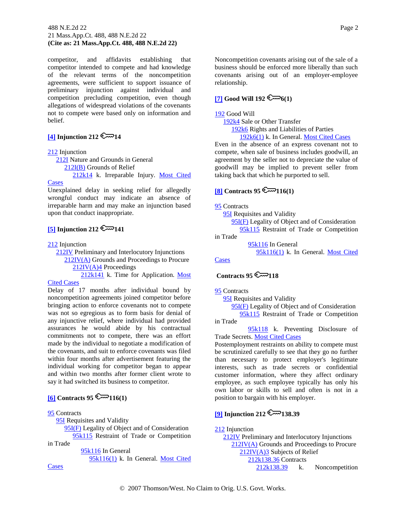#### 488 N.E.2d 22 Page 2 21 Mass.App.Ct. 488, 488 N.E.2d 22 **(Cite as: 21 Mass.App.Ct. 488, 488 N.E.2d 22)**

competitor, and affidavits establishing that competitor intended to compete and had knowledge of the relevant terms of the noncompetition agreements, were sufficient to support issuance of preliminary injunction against individual and competition precluding competition, even though allegations of widespread violations of the covenants not to compete were based only on information and belief.

# <span id="page-8-0"></span> $\boxed{4}$  Injunction 212

#### [212](http://www.westlaw.com/KeyNumber/Default.wl?rs=dfa1.0&vr=2.0&CMD=KEY&DocName=212) Injunction

 [212I](http://www.westlaw.com/KeyNumber/Default.wl?rs=dfa1.0&vr=2.0&CMD=KEY&DocName=212I) Nature and Grounds in General [212I\(B\)](http://www.westlaw.com/KeyNumber/Default.wl?rs=dfa1.0&vr=2.0&CMD=KEY&DocName=212I%28B%29) Grounds of Relief [212k14](http://www.westlaw.com/KeyNumber/Default.wl?rs=dfa1.0&vr=2.0&CMD=KEY&DocName=212k14) k. Irreparable Injury. [Most Cited](http://www.westlaw.com/Digest/Default.wl?rs=dfa1.0&vr=2.0&CMD=MCC&DocName=212k14)  **[Cases](http://www.westlaw.com/Digest/Default.wl?rs=dfa1.0&vr=2.0&CMD=MCC&DocName=212k14)** 

Unexplained delay in seeking relief for allegedly wrongful conduct may indicate an absence of irreparable harm and may make an injunction based upon that conduct inappropriate.

# $\boxed{5}$  Injunction 212

[212](http://www.westlaw.com/KeyNumber/Default.wl?rs=dfa1.0&vr=2.0&CMD=KEY&DocName=212) Injunction

 [212IV](http://www.westlaw.com/KeyNumber/Default.wl?rs=dfa1.0&vr=2.0&CMD=KEY&DocName=212IV) Preliminary and Interlocutory Injunctions [212IV\(A\)](http://www.westlaw.com/KeyNumber/Default.wl?rs=dfa1.0&vr=2.0&CMD=KEY&DocName=212IV%28A%29) Grounds and Proceedings to Procure

[212IV\(A\)4](http://www.westlaw.com/KeyNumber/Default.wl?rs=dfa1.0&vr=2.0&CMD=KEY&DocName=212IV%28A%294) Proceedings

 [212k141](http://www.westlaw.com/KeyNumber/Default.wl?rs=dfa1.0&vr=2.0&CMD=KEY&DocName=212k141) k. Time for Application. [Most](http://www.westlaw.com/Digest/Default.wl?rs=dfa1.0&vr=2.0&CMD=MCC&DocName=212k141)  [Cited Cases](http://www.westlaw.com/Digest/Default.wl?rs=dfa1.0&vr=2.0&CMD=MCC&DocName=212k141)

Delay of 17 months after individual bound by noncompetition agreements joined competitor before bringing action to enforce covenants not to compete was not so egregious as to form basis for denial of any injunctive relief, where individual had provided assurances he would abide by his contractual commitments not to compete, there was an effort made by the individual to negotiate a modification of the covenants, and suit to enforce covenants was filed within four months after advertisement featuring the individual working for competitor began to appear and within two months after former client wrote to say it had switched its business to competitor.

# <span id="page-8-1"></span> $[6]$  Contracts 95  $\mathbb{C}$ <sup>-116(1)</sup>

#### [95](http://www.westlaw.com/KeyNumber/Default.wl?rs=dfa1.0&vr=2.0&CMD=KEY&DocName=95) Contracts

[95I](http://www.westlaw.com/KeyNumber/Default.wl?rs=dfa1.0&vr=2.0&CMD=KEY&DocName=95I) Requisites and Validity

 [95I\(F\)](http://www.westlaw.com/KeyNumber/Default.wl?rs=dfa1.0&vr=2.0&CMD=KEY&DocName=95I%28F%29) Legality of Object and of Consideration [95k115](http://www.westlaw.com/KeyNumber/Default.wl?rs=dfa1.0&vr=2.0&CMD=KEY&DocName=95k115) Restraint of Trade or Competition

in Trade

 [95k116](http://www.westlaw.com/KeyNumber/Default.wl?rs=dfa1.0&vr=2.0&CMD=KEY&DocName=95k116) In General [95k116\(1\)](http://www.westlaw.com/KeyNumber/Default.wl?rs=dfa1.0&vr=2.0&CMD=KEY&DocName=95k116%281%29) k. In General. [Most Cited](http://www.westlaw.com/Digest/Default.wl?rs=dfa1.0&vr=2.0&CMD=MCC&DocName=95k116%281%29) 

**[Cases](http://www.westlaw.com/Digest/Default.wl?rs=dfa1.0&vr=2.0&CMD=MCC&DocName=95k116%281%29)** 

Noncompetition covenants arising out of the sale of a business should be enforced more liberally than such covenants arising out of an employer-employee relationship.

## $[7]$  **Good Will 192**  $\mathbb{R}$  6(1)

#### [192](http://www.westlaw.com/KeyNumber/Default.wl?rs=dfa1.0&vr=2.0&CMD=KEY&DocName=192) Good Will

[192k4](http://www.westlaw.com/KeyNumber/Default.wl?rs=dfa1.0&vr=2.0&CMD=KEY&DocName=192k4) Sale or Other Transfer

[192k6](http://www.westlaw.com/KeyNumber/Default.wl?rs=dfa1.0&vr=2.0&CMD=KEY&DocName=192k6) Rights and Liabilities of Parties

[192k6\(1\)](http://www.westlaw.com/KeyNumber/Default.wl?rs=dfa1.0&vr=2.0&CMD=KEY&DocName=192k6%281%29) k. In General. [Most Cited Cases](http://www.westlaw.com/Digest/Default.wl?rs=dfa1.0&vr=2.0&CMD=MCC&DocName=192k6%281%29)

Even in the absence of an express covenant not to compete, when sale of business includes goodwill, an agreement by the seller not to depreciate the value of goodwill may be implied to prevent seller from taking back that which he purported to sell.

# <span id="page-8-2"></span> $[8]$  Contracts 95

[95](http://www.westlaw.com/KeyNumber/Default.wl?rs=dfa1.0&vr=2.0&CMD=KEY&DocName=95) Contracts

**[95I](http://www.westlaw.com/KeyNumber/Default.wl?rs=dfa1.0&vr=2.0&CMD=KEY&DocName=95I)** Requisites and Validity

 [95I\(F\)](http://www.westlaw.com/KeyNumber/Default.wl?rs=dfa1.0&vr=2.0&CMD=KEY&DocName=95I%28F%29) Legality of Object and of Consideration [95k115](http://www.westlaw.com/KeyNumber/Default.wl?rs=dfa1.0&vr=2.0&CMD=KEY&DocName=95k115) Restraint of Trade or Competition

in Trade

 [95k116](http://www.westlaw.com/KeyNumber/Default.wl?rs=dfa1.0&vr=2.0&CMD=KEY&DocName=95k116) In General [95k116\(1\)](http://www.westlaw.com/KeyNumber/Default.wl?rs=dfa1.0&vr=2.0&CMD=KEY&DocName=95k116%281%29) k. In General. [Most Cited](http://www.westlaw.com/Digest/Default.wl?rs=dfa1.0&vr=2.0&CMD=MCC&DocName=95k116%281%29) 

**[Cases](http://www.westlaw.com/Digest/Default.wl?rs=dfa1.0&vr=2.0&CMD=MCC&DocName=95k116%281%29)** 

# **Contracts 95**  $\approx$ **118**

[95](http://www.westlaw.com/KeyNumber/Default.wl?rs=dfa1.0&vr=2.0&CMD=KEY&DocName=95) Contracts

**[95I](http://www.westlaw.com/KeyNumber/Default.wl?rs=dfa1.0&vr=2.0&CMD=KEY&DocName=95I)** Requisites and Validity

 [95I\(F\)](http://www.westlaw.com/KeyNumber/Default.wl?rs=dfa1.0&vr=2.0&CMD=KEY&DocName=95I%28F%29) Legality of Object and of Consideration [95k115](http://www.westlaw.com/KeyNumber/Default.wl?rs=dfa1.0&vr=2.0&CMD=KEY&DocName=95k115) Restraint of Trade or Competition

in Trade

 [95k118](http://www.westlaw.com/KeyNumber/Default.wl?rs=dfa1.0&vr=2.0&CMD=KEY&DocName=95k118) k. Preventing Disclosure of Trade Secrets[. Most Cited Cases](http://www.westlaw.com/Digest/Default.wl?rs=dfa1.0&vr=2.0&CMD=MCC&DocName=95k118)

Postemployment restraints on ability to compete must be scrutinized carefully to see that they go no further than necessary to protect employer's legitimate interests, such as trade secrets or confidential customer information, where they affect ordinary employee, as such employee typically has only his own labor or skills to sell and often is not in a position to bargain with his employer.

# <span id="page-8-3"></span>**[\[9\]](#page-14-0) Injunction 212**  $\mathbb{C}$  138.39

[212](http://www.westlaw.com/KeyNumber/Default.wl?rs=dfa1.0&vr=2.0&CMD=KEY&DocName=212) Injunction [212IV](http://www.westlaw.com/KeyNumber/Default.wl?rs=dfa1.0&vr=2.0&CMD=KEY&DocName=212IV) Preliminary and Interlocutory Injunctions [212IV\(A\)](http://www.westlaw.com/KeyNumber/Default.wl?rs=dfa1.0&vr=2.0&CMD=KEY&DocName=212IV%28A%29) Grounds and Proceedings to Procure [212IV\(A\)3](http://www.westlaw.com/KeyNumber/Default.wl?rs=dfa1.0&vr=2.0&CMD=KEY&DocName=212IV%28A%293) Subjects of Relief [212k138.36](http://www.westlaw.com/KeyNumber/Default.wl?rs=dfa1.0&vr=2.0&CMD=KEY&DocName=212k138.36) Contracts [212k138.39](http://www.westlaw.com/KeyNumber/Default.wl?rs=dfa1.0&vr=2.0&CMD=KEY&DocName=212k138.39) k. Noncompetition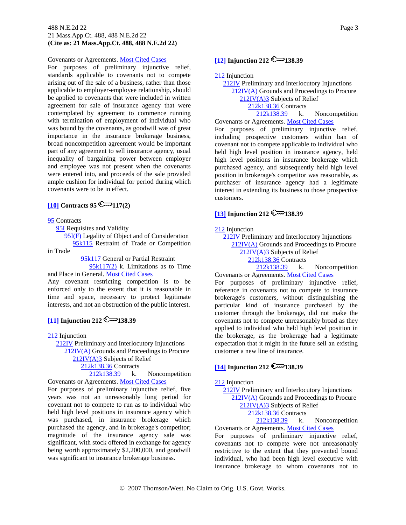#### 488 N.E.2d 22 Page 3 21 Mass.App.Ct. 488, 488 N.E.2d 22 **(Cite as: 21 Mass.App.Ct. 488, 488 N.E.2d 22)**

#### Covenants or Agreements. [Most Cited Cases](http://www.westlaw.com/Digest/Default.wl?rs=dfa1.0&vr=2.0&CMD=MCC&DocName=212k138.39)

For purposes of preliminary injunctive relief, standards applicable to covenants not to compete arising out of the sale of a business, rather than those applicable to employer-employee relationship, should be applied to covenants that were included in written agreement for sale of insurance agency that were contemplated by agreement to commence running with termination of employment of individual who was bound by the covenants, as goodwill was of great importance in the insurance brokerage business, broad noncompetition agreement would be important part of any agreement to sell insurance agency, usual inequality of bargaining power between employer and employee was not present when the covenants were entered into, and proceeds of the sale provided ample cushion for individual for period during which covenants were to be in effect.

## <span id="page-9-0"></span> $[10]$  Contracts 95

[95](http://www.westlaw.com/KeyNumber/Default.wl?rs=dfa1.0&vr=2.0&CMD=KEY&DocName=95) Contracts

**[95I](http://www.westlaw.com/KeyNumber/Default.wl?rs=dfa1.0&vr=2.0&CMD=KEY&DocName=95I)** Requisites and Validity

[95I\(F\)](http://www.westlaw.com/KeyNumber/Default.wl?rs=dfa1.0&vr=2.0&CMD=KEY&DocName=95I%28F%29) Legality of Object and of Consideration

 [95k115](http://www.westlaw.com/KeyNumber/Default.wl?rs=dfa1.0&vr=2.0&CMD=KEY&DocName=95k115) Restraint of Trade or Competition in Trade

 [95k117](http://www.westlaw.com/KeyNumber/Default.wl?rs=dfa1.0&vr=2.0&CMD=KEY&DocName=95k117) General or Partial Restraint [95k117\(2\)](http://www.westlaw.com/KeyNumber/Default.wl?rs=dfa1.0&vr=2.0&CMD=KEY&DocName=95k117%282%29) k. Limitations as to Time

and Place in General. [Most Cited Cases](http://www.westlaw.com/Digest/Default.wl?rs=dfa1.0&vr=2.0&CMD=MCC&DocName=95k117%282%29)

Any covenant restricting competition is to be enforced only to the extent that it is reasonable in time and space, necessary to protect legitimate interests, and not an obstruction of the public interest.

## <span id="page-9-1"></span> $[11]$  Injunction 212

[212](http://www.westlaw.com/KeyNumber/Default.wl?rs=dfa1.0&vr=2.0&CMD=KEY&DocName=212) Injunction

[212IV](http://www.westlaw.com/KeyNumber/Default.wl?rs=dfa1.0&vr=2.0&CMD=KEY&DocName=212IV) Preliminary and Interlocutory Injunctions

[212IV\(A\)](http://www.westlaw.com/KeyNumber/Default.wl?rs=dfa1.0&vr=2.0&CMD=KEY&DocName=212IV%28A%29) Grounds and Proceedings to Procure

[212IV\(A\)3](http://www.westlaw.com/KeyNumber/Default.wl?rs=dfa1.0&vr=2.0&CMD=KEY&DocName=212IV%28A%293) Subjects of Relief

[212k138.36](http://www.westlaw.com/KeyNumber/Default.wl?rs=dfa1.0&vr=2.0&CMD=KEY&DocName=212k138.36) Contracts

 [212k138.39](http://www.westlaw.com/KeyNumber/Default.wl?rs=dfa1.0&vr=2.0&CMD=KEY&DocName=212k138.39) k. Noncompetition Covenants or Agreements. [Most Cited Cases](http://www.westlaw.com/Digest/Default.wl?rs=dfa1.0&vr=2.0&CMD=MCC&DocName=212k138.39)

For purposes of preliminary injunctive relief, five years was not an unreasonably long period for covenant not to compete to run as to individual who held high level positions in insurance agency which was purchased, in insurance brokerage which purchased the agency, and in brokerage's competitor; magnitude of the insurance agency sale was significant, with stock offered in exchange for agency being worth approximately \$2,200,000, and goodwill was significant to insurance brokerage business.

# <span id="page-9-2"></span>**[\[12\]](#page-15-0) Injunction 212**  $\approx$  138.39

[212](http://www.westlaw.com/KeyNumber/Default.wl?rs=dfa1.0&vr=2.0&CMD=KEY&DocName=212) Injunction

 [212IV](http://www.westlaw.com/KeyNumber/Default.wl?rs=dfa1.0&vr=2.0&CMD=KEY&DocName=212IV) Preliminary and Interlocutory Injunctions [212IV\(A\)](http://www.westlaw.com/KeyNumber/Default.wl?rs=dfa1.0&vr=2.0&CMD=KEY&DocName=212IV%28A%29) Grounds and Proceedings to Procure [212IV\(A\)3](http://www.westlaw.com/KeyNumber/Default.wl?rs=dfa1.0&vr=2.0&CMD=KEY&DocName=212IV%28A%293) Subjects of Relief [212k138.36](http://www.westlaw.com/KeyNumber/Default.wl?rs=dfa1.0&vr=2.0&CMD=KEY&DocName=212k138.36) Contracts [212k138.39](http://www.westlaw.com/KeyNumber/Default.wl?rs=dfa1.0&vr=2.0&CMD=KEY&DocName=212k138.39) k. Noncompetition Covenants or Agreements. [Most Cited Cases](http://www.westlaw.com/Digest/Default.wl?rs=dfa1.0&vr=2.0&CMD=MCC&DocName=212k138.39)

For purposes of preliminary injunctive relief, including prospective customers within ban of covenant not to compete applicable to individual who held high level position in insurance agency, held high level positions in insurance brokerage which purchased agency, and subsequently held high level position in brokerage's competitor was reasonable, as purchaser of insurance agency had a legitimate interest in extending its business to those prospective customers.

# **[\[13\]](#page-15-1) Injunction 212**  $\mathbb{R}$  138.39

#### [212](http://www.westlaw.com/KeyNumber/Default.wl?rs=dfa1.0&vr=2.0&CMD=KEY&DocName=212) Injunction

 [212IV](http://www.westlaw.com/KeyNumber/Default.wl?rs=dfa1.0&vr=2.0&CMD=KEY&DocName=212IV) Preliminary and Interlocutory Injunctions [212IV\(A\)](http://www.westlaw.com/KeyNumber/Default.wl?rs=dfa1.0&vr=2.0&CMD=KEY&DocName=212IV%28A%29) Grounds and Proceedings to Procure

[212IV\(A\)3](http://www.westlaw.com/KeyNumber/Default.wl?rs=dfa1.0&vr=2.0&CMD=KEY&DocName=212IV%28A%293) Subjects of Relief

[212k138.36](http://www.westlaw.com/KeyNumber/Default.wl?rs=dfa1.0&vr=2.0&CMD=KEY&DocName=212k138.36) Contracts

 [212k138.39](http://www.westlaw.com/KeyNumber/Default.wl?rs=dfa1.0&vr=2.0&CMD=KEY&DocName=212k138.39) k. Noncompetition Covenants or Agreements. [Most Cited Cases](http://www.westlaw.com/Digest/Default.wl?rs=dfa1.0&vr=2.0&CMD=MCC&DocName=212k138.39)

For purposes of preliminary injunctive relief, reference in covenants not to compete to insurance brokerage's customers, without distinguishing the particular kind of insurance purchased by the customer through the brokerage, did not make the covenants not to compete unreasonably broad as they applied to individual who held high level position in the brokerage, as the brokerage had a legitimate expectation that it might in the future sell an existing customer a new line of insurance.

### <span id="page-9-3"></span> $[14]$  Injunction 212

#### [212](http://www.westlaw.com/KeyNumber/Default.wl?rs=dfa1.0&vr=2.0&CMD=KEY&DocName=212) Injunction

 [212IV](http://www.westlaw.com/KeyNumber/Default.wl?rs=dfa1.0&vr=2.0&CMD=KEY&DocName=212IV) Preliminary and Interlocutory Injunctions [212IV\(A\)](http://www.westlaw.com/KeyNumber/Default.wl?rs=dfa1.0&vr=2.0&CMD=KEY&DocName=212IV%28A%29) Grounds and Proceedings to Procure [212IV\(A\)3](http://www.westlaw.com/KeyNumber/Default.wl?rs=dfa1.0&vr=2.0&CMD=KEY&DocName=212IV%28A%293) Subjects of Relief [212k138.36](http://www.westlaw.com/KeyNumber/Default.wl?rs=dfa1.0&vr=2.0&CMD=KEY&DocName=212k138.36) Contracts

 [212k138.39](http://www.westlaw.com/KeyNumber/Default.wl?rs=dfa1.0&vr=2.0&CMD=KEY&DocName=212k138.39) k. Noncompetition Covenants or Agreements. Most [Cited Cases](http://www.westlaw.com/Digest/Default.wl?rs=dfa1.0&vr=2.0&CMD=MCC&DocName=212k138.39)

For purposes of preliminary injunctive relief, covenants not to compete were not unreasonably restrictive to the extent that they prevented bound individual, who had been high level executive with insurance brokerage to whom covenants not to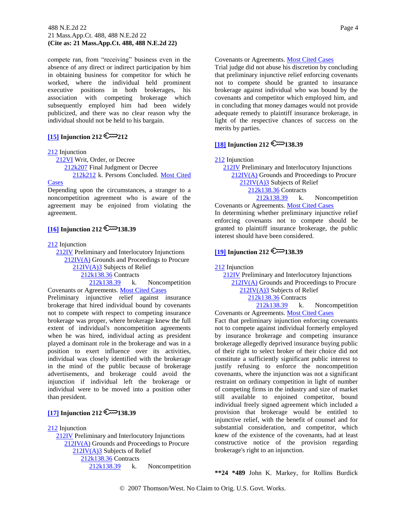#### 488 N.E.2d 22 Page 4 21 Mass.App.Ct. 488, 488 N.E.2d 22 **(Cite as: 21 Mass.App.Ct. 488, 488 N.E.2d 22)**

compete ran, from "receiving" business even in the absence of any direct or indirect participation by him in obtaining business for competitor for which he worked, where the individual held prominent executive positions in both brokerages, his association with competing brokerage which subsequently employed him had been widely publicized, and there was no clear reason why the individual should not be held to his bargain.

### <span id="page-10-0"></span> $\overline{[15]}$  $\overline{[15]}$  $\overline{[15]}$  Injunction 212

#### [212](http://www.westlaw.com/KeyNumber/Default.wl?rs=dfa1.0&vr=2.0&CMD=KEY&DocName=212) Injunction

 [212VI](http://www.westlaw.com/KeyNumber/Default.wl?rs=dfa1.0&vr=2.0&CMD=KEY&DocName=212VI) Writ, Order, or Decree [212k207](http://www.westlaw.com/KeyNumber/Default.wl?rs=dfa1.0&vr=2.0&CMD=KEY&DocName=212k207) Final Judgment or Decree [212k212](http://www.westlaw.com/KeyNumber/Default.wl?rs=dfa1.0&vr=2.0&CMD=KEY&DocName=212k212) k. Persons Concluded. [Most Cited](http://www.westlaw.com/Digest/Default.wl?rs=dfa1.0&vr=2.0&CMD=MCC&DocName=212k212) 

### **[Cases](http://www.westlaw.com/Digest/Default.wl?rs=dfa1.0&vr=2.0&CMD=MCC&DocName=212k212)**

Depending upon the circumstances, a stranger to a noncompetition agreement who is aware of the agreement may be enjoined from violating the agreement.

## $[16]$  Injunction 212

[212](http://www.westlaw.com/KeyNumber/Default.wl?rs=dfa1.0&vr=2.0&CMD=KEY&DocName=212) Injunction

 [212IV](http://www.westlaw.com/KeyNumber/Default.wl?rs=dfa1.0&vr=2.0&CMD=KEY&DocName=212IV) Preliminary and Interlocutory Injunctions [212IV\(A\)](http://www.westlaw.com/KeyNumber/Default.wl?rs=dfa1.0&vr=2.0&CMD=KEY&DocName=212IV%28A%29) Grounds and Proceedings to Procure

[212IV\(A\)3](http://www.westlaw.com/KeyNumber/Default.wl?rs=dfa1.0&vr=2.0&CMD=KEY&DocName=212IV%28A%293) Subjects of Relief

[212k138.36](http://www.westlaw.com/KeyNumber/Default.wl?rs=dfa1.0&vr=2.0&CMD=KEY&DocName=212k138.36) Contracts

 [212k138.39](http://www.westlaw.com/KeyNumber/Default.wl?rs=dfa1.0&vr=2.0&CMD=KEY&DocName=212k138.39) k. Noncompetition Covenants or Agreements. [Most Cited Cases](http://www.westlaw.com/Digest/Default.wl?rs=dfa1.0&vr=2.0&CMD=MCC&DocName=212k138.39)

Preliminary injunctive relief against insurance brokerage that hired individual bound by covenants not to compete with respect to competing insurance brokerage was proper, where brokerage knew the full extent of individual's noncompetition agreements when he was hired, individual acting as president played a dominant role in the brokerage and was in a position to exert influence over its activities, individual was closely identified with the brokerage in the mind of the public because of brokerage advertisements, and brokerage could avoid the injunction if individual left the brokerage or individual were to be moved into a position other than president.

# <span id="page-10-1"></span>**[\[17\]](#page-16-0) Injunction 212**  $\mathbb{R}$  138.39

[212](http://www.westlaw.com/KeyNumber/Default.wl?rs=dfa1.0&vr=2.0&CMD=KEY&DocName=212) Injunction

 [212IV](http://www.westlaw.com/KeyNumber/Default.wl?rs=dfa1.0&vr=2.0&CMD=KEY&DocName=212IV) Preliminary and Interlocutory Injunctions [212IV\(A\)](http://www.westlaw.com/KeyNumber/Default.wl?rs=dfa1.0&vr=2.0&CMD=KEY&DocName=212IV%28A%29) Grounds and Proceedings to Procure [212IV\(A\)3](http://www.westlaw.com/KeyNumber/Default.wl?rs=dfa1.0&vr=2.0&CMD=KEY&DocName=212IV%28A%293) Subjects of Relief [212k138.36](http://www.westlaw.com/KeyNumber/Default.wl?rs=dfa1.0&vr=2.0&CMD=KEY&DocName=212k138.36) Contracts [212k138.39](http://www.westlaw.com/KeyNumber/Default.wl?rs=dfa1.0&vr=2.0&CMD=KEY&DocName=212k138.39) k. Noncompetition

#### Covenants or Agreements. [Most Cited Cases](http://www.westlaw.com/Digest/Default.wl?rs=dfa1.0&vr=2.0&CMD=MCC&DocName=212k138.39)

Trial judge did not abuse his discretion by concluding that preliminary injunctive relief enforcing covenants not to compete should be granted to insurance brokerage against individual who was bound by the covenants and competitor which employed him, and in concluding that money damages would not provide adequate remedy to plaintiff insurance brokerage, in light of the respective chances of success on the merits by parties.

# <span id="page-10-2"></span> $[18]$  Injunction 212

[212](http://www.westlaw.com/KeyNumber/Default.wl?rs=dfa1.0&vr=2.0&CMD=KEY&DocName=212) Injunction

 [212IV](http://www.westlaw.com/KeyNumber/Default.wl?rs=dfa1.0&vr=2.0&CMD=KEY&DocName=212IV) Preliminary and Interlocutory Injunctions [212IV\(A\)](http://www.westlaw.com/KeyNumber/Default.wl?rs=dfa1.0&vr=2.0&CMD=KEY&DocName=212IV%28A%29) Grounds and Proceedings to Procure [212IV\(A\)3](http://www.westlaw.com/KeyNumber/Default.wl?rs=dfa1.0&vr=2.0&CMD=KEY&DocName=212IV%28A%293) Subjects of Relief [212k138.36](http://www.westlaw.com/KeyNumber/Default.wl?rs=dfa1.0&vr=2.0&CMD=KEY&DocName=212k138.36) Contracts [212k138.39](http://www.westlaw.com/KeyNumber/Default.wl?rs=dfa1.0&vr=2.0&CMD=KEY&DocName=212k138.39) k. Noncompetition

Covenants or Agreements. [Most Cited Cases](http://www.westlaw.com/Digest/Default.wl?rs=dfa1.0&vr=2.0&CMD=MCC&DocName=212k138.39) In determining whether preliminary injunctive relief enforcing covenants not to compete should be granted to plaintiff insurance brokerage, the public interest should have been considered.

# **[\[19\]](#page-16-2) Injunction 212**  $\mathbb{R}$  138.39

[212](http://www.westlaw.com/KeyNumber/Default.wl?rs=dfa1.0&vr=2.0&CMD=KEY&DocName=212) Injunction

 [212IV](http://www.westlaw.com/KeyNumber/Default.wl?rs=dfa1.0&vr=2.0&CMD=KEY&DocName=212IV) Preliminary and Interlocutory Injunctions [212IV\(A\)](http://www.westlaw.com/KeyNumber/Default.wl?rs=dfa1.0&vr=2.0&CMD=KEY&DocName=212IV%28A%29) Grounds and Proceedings to Procure [212IV\(A\)3](http://www.westlaw.com/KeyNumber/Default.wl?rs=dfa1.0&vr=2.0&CMD=KEY&DocName=212IV%28A%293) Subjects of Relief [212k138.36](http://www.westlaw.com/KeyNumber/Default.wl?rs=dfa1.0&vr=2.0&CMD=KEY&DocName=212k138.36) Contracts [212k138.39](http://www.westlaw.com/KeyNumber/Default.wl?rs=dfa1.0&vr=2.0&CMD=KEY&DocName=212k138.39) k. Noncompetition

Covenants or Agreements. [Most Cited Cases](http://www.westlaw.com/Digest/Default.wl?rs=dfa1.0&vr=2.0&CMD=MCC&DocName=212k138.39) Fact that preliminary injunction enforcing covenants not to compete against individual formerly employed by insurance brokerage and competing insurance brokerage allegedly deprived insurance buying public of their right to select broker of their choice did not constitute a sufficiently significant public interest to justify refusing to enforce the noncompetition covenants, where the injunction was not a significant restraint on ordinary competition in light of number of competing firms in the industry and size of market still available to enjoined competitor, bound individual freely signed agreement which included a provision that brokerage would be entitled to injunctive relief, with the benefit of counsel and for substantial consideration, and competitor, which knew of the existence of the covenants, had at least constructive notice of the provision regarding brokerage's right to an injunction.

**\*\*24 \*489** John K. Markey, for Rollins Burdick

© 2007 Thomson/West. No Claim to Orig. U.S. Govt. Works.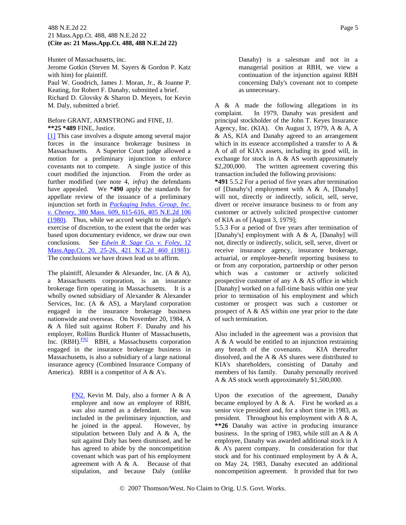#### 488 N.E.2d 22 Page 5 21 Mass.App.Ct. 488, 488 N.E.2d 22 **(Cite as: 21 Mass.App.Ct. 488, 488 N.E.2d 22)**

Hunter of Massachusetts, inc. Jerome Gotkin (Steven M. Sayers & Gordon P. Katz with him) for plaintiff. Paul W. Goodrich, James J. Moran, Jr., & Joanne P. Keating, for Robert F. Danahy, submitted a brief. Richard D. Glovsky & Sharon D. Meyers, for Kevin M. Daly, submitted a brief.

#### Before GRANT, ARMSTRONG and FINE, JJ. **\*\*25 \*489** FINE, Justice.

<span id="page-11-0"></span>[\[1\]](#page-7-2) This case involves a dispute among several major forces in the insurance brokerage business in Massachusetts. A Superior Court judge allowed a motion for a preliminary injunction to enforce covenants not to compete. A single justice of this court modified the injunction. From the order as further modified (see note 4, *infra*) the defendants have appealed. We **\*490** apply the standards for appellate review of the issuance of a preliminary injunction set forth in *[Packaging Indus. Group, Inc.](http://www.westlaw.com/Find/Default.wl?rs=dfa1.0&vr=2.0&DB=578&FindType=Y&SerialNum=1980114222)  [v. Cheney,](http://www.westlaw.com/Find/Default.wl?rs=dfa1.0&vr=2.0&DB=578&FindType=Y&SerialNum=1980114222)* [380 Mass. 609, 615-616, 405 N.E.2d 106](http://www.westlaw.com/Find/Default.wl?rs=dfa1.0&vr=2.0&DB=578&FindType=Y&SerialNum=1980114222)  (1980). Thus, while we accord weight to the judge's exercise of discretion, to the extent that the order was based upon documentary evidence, we draw our own conclusions. See *[Edwin R. Sage Co. v. Foley,](http://www.westlaw.com/Find/Default.wl?rs=dfa1.0&vr=2.0&DB=578&FindType=Y&SerialNum=1981124434)* [12](http://www.westlaw.com/Find/Default.wl?rs=dfa1.0&vr=2.0&DB=578&FindType=Y&SerialNum=1981124434)  Mass.App.Ct. 20, 25-26, 421 N.E.2d 460 (1981). The conclusions we have drawn lead us to affirm.

The plaintiff, Alexander & Alexander, Inc. (A & A), a Massachusetts corporation, is an insurance brokerage firm operating in Massachusetts. It is a wholly owned subsidiary of Alexander & Alexander Services, Inc. (A & AS), a Maryland corporation engaged in the insurance brokerage business nationwide and overseas. On November 20, 1984, A & A filed suit against Robert F. Danahy and his employer, Rollins Burdick Hunter of Massachusetts, Inc.  $(RBH)$ . [FN2](#page-11-1) RBH, a Massachusetts corporation engaged in the insurance brokerage business in Massachusetts, is also a subsidiary of a large national insurance agency (Combined Insurance Company of America). RBH is a competitor of A & A's.

> <span id="page-11-2"></span><span id="page-11-1"></span>[FN2.](#page-11-2) Kevin M. Daly, also a former A & A employee and now an employee of RBH, was also named as a defendant. He was included in the preliminary injunction, and he joined in the appeal. However, by stipulation between Daly and A & A, the suit against Daly has been dismissed, and he has agreed to abide by the noncompetition covenant which was part of his employment agreement with A & A. Because of that stipulation, and because Daly (unlike

Danahy) is a salesman and not in a managerial position at RBH, we view a continuation of the injunction against RBH concerning Daly's covenant not to compete as unnecessary.

A & A made the following allegations in its complaint. In 1979, Danahy was president and principal stockholder of the John T. Keyes Insurance Agency, Inc. (KIA). On August 3, 1979, A & A, A & AS, KIA and Danahy agreed to an arrangement which in its essence accomplished a transfer to A & A of all of KIA's assets, including its good will, in exchange for stock in A & AS worth approximately \$2,200,000. The written agreement covering this transaction included the following provisions:

**\*491** 5.5.2 For a period of five years after termination of [Danahy's] employment with A & A, [Danahy] will not, directly or indirectly, solicit, sell, serve, divert or receive insurance business to or from any customer or actively solicited prospective customer of KIA as of [August 3, 1979];

5.5.3 For a period of five years after termination of [Danahy's] employment with A & A, [Danahy] will not, directly or indirectly, solicit, sell, serve, divert or receive insurance agency, insurance brokerage, actuarial, or employee-benefit reporting business to or from any corporation, partnership or other person which was a customer or actively solicited prospective customer of any A & AS office in which [Danahy] worked on a full-time basis within one year prior to termination of his employment and which customer or prospect was such a customer or prospect of A  $\&$  AS within one year prior to the date of such termination.

Also included in the agreement was a provision that A & A would be entitled to an injunction restraining any breach of the covenants. KIA thereafter dissolved, and the A & AS shares were distributed to KIA's shareholders, consisting of Danahy and members of his family. Danahy personally received A & AS stock worth approximately \$1,500,000.

Upon the execution of the agreement, Danahy became employed by  $A \& A$ . First he worked as a senior vice president and, for a short time in 1983, as president. Throughout his employment with A & A, **\*\*26** Danahy was active in producing insurance business. In the spring of 1983, while still an A & A employee, Danahy was awarded additional stock in A & A's parent company. In consideration for that stock and for his continued employment by A & A, on May 24, 1983, Danahy executed an additional noncompetition agreement. It provided that for two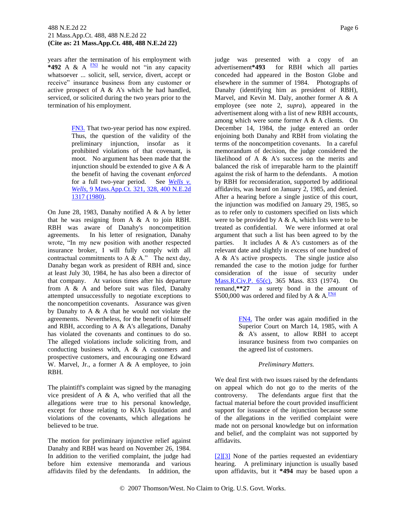<span id="page-12-3"></span>years after the termination of his employment with **\*492** A & A  $\frac{FN3}{FN}$  $\frac{FN3}{FN}$  $\frac{FN3}{FN}$  he would not "in any capacity" whatsoever ... solicit, sell, service, divert, accept or receive" insurance business from any customer or active prospect of A & A's which he had handled, serviced, or solicited during the two years prior to the termination of his employment.

> <span id="page-12-2"></span>[FN3.](#page-12-3) That two-year period has now expired. Thus, the question of the validity of the preliminary injunction, insofar as it prohibited violations of that covenant, is moot. No argument has been made that the injunction should be extended to give  $A \& A$ the benefit of having the covenant *enforced* for a full two-year period. See *[Wells v.](http://www.westlaw.com/Find/Default.wl?rs=dfa1.0&vr=2.0&DB=578&FindType=Y&SerialNum=1980103498)  [Wells,](http://www.westlaw.com/Find/Default.wl?rs=dfa1.0&vr=2.0&DB=578&FindType=Y&SerialNum=1980103498)* [9 Mass.App.Ct. 321, 328, 400 N.E.2d](http://www.westlaw.com/Find/Default.wl?rs=dfa1.0&vr=2.0&DB=578&FindType=Y&SerialNum=1980103498)  1317 (1980).

On June 28, 1983, Danahy notified A & A by letter that he was resigning from A  $\&$  A to join RBH. RBH was aware of Danahy's noncompetition agreements. In his letter of resignation, Danahy wrote, "In my new position with another respected insurance broker, I will fully comply with all contractual commitments to A  $\&$  A." The next day, Danahy began work as president of RBH and, since at least July 30, 1984, he has also been a director of that company. At various times after his departure from A & A and before suit was filed, Danahy attempted unsuccessfully to negotiate exceptions to the noncompetition covenants. Assurance was given by Danahy to A & A that he would not violate the agreements. Nevertheless, for the benefit of himself and RBH, according to A & A's allegations, Danahy has violated the covenants and continues to do so. The alleged violations include soliciting from, and conducting business with, A & A customers and prospective customers, and encouraging one Edward W. Marvel, Jr., a former A & A employee, to join RBH.

The plaintiff's complaint was signed by the managing vice president of A & A, who verified that all the allegations were true to his personal knowledge, except for those relating to KIA's liquidation and violations of the covenants, which allegations he believed to be true.

The motion for preliminary injunctive relief against Danahy and RBH was heard on November 26, 1984. In addition to the verified complaint, the judge had before him extensive memoranda and various affidavits filed by the defendants. In addition, the judge was presented with a copy of an advertisement**\*493** for RBH which all parties conceded had appeared in the Boston Globe and elsewhere in the summer of 1984. Photographs of Danahy (identifying him as president of RBH), Marvel, and Kevin M. Daly, another former A & A employee (see note 2, *supra*), appeared in the advertisement along with a list of new RBH accounts, among which were some former A & A clients. On December 14, 1984, the judge entered an order enjoining both Danahy and RBH from violating the terms of the noncompetition covenants. In a careful memorandum of decision, the judge considered the likelihood of A & A's success on the merits and balanced the risk of irreparable harm to the plaintiff against the risk of harm to the defendants. A motion by RBH for reconsideration, supported by additional affidavits, was heard on January 2, 1985, and denied. After a hearing before a single justice of this court, the injunction was modified on January 29, 1985, so as to refer only to customers specified on lists which were to be provided by  $A \& A$ , which lists were to be treated as confidential. We were informed at oral argument that such a list has been agreed to by the parties. It includes  $A \& A$ 's customers as of the relevant date and slightly in excess of one hundred of A & A's active prospects. The single justice also remanded the case to the motion judge for further consideration of the issue of security under [Mass.R.Civ.P. 65\(c\),](http://www.westlaw.com/Find/Default.wl?rs=dfa1.0&vr=2.0&DB=1000042&DocName=MASTRCPR65&FindType=L) 365 Mass. 833 (1974). On remand,**\*\*27** a surety bond in the amount of \$500,000 was ordered and filed by A & A. $\frac{FN4}{FN}$  $\frac{FN4}{FN}$  $\frac{FN4}{FN}$ 

> <span id="page-12-5"></span><span id="page-12-4"></span>[FN4.](#page-12-5) The order was again modified in the Superior Court on March 14, 1985, with A & A's assent, to allow RBH to accept insurance business from two companies on the agreed list of customers.

#### *Preliminary Matters.*

We deal first with two issues raised by the defendants on appeal which do not go to the merits of the controversy. The defendants argue first that the factual material before the court provided insufficient support for issuance of the injunction because some of the allegations in the verified complaint were made not on personal knowledge but on information and belief, and the complaint was not supported by affidavits.

<span id="page-12-1"></span><span id="page-12-0"></span>[\[2\]\[3\]](#page-7-3) None of the parties requested an evidentiary hearing. A preliminary injunction is usually based upon affidavits, but it **\*494** may be based upon a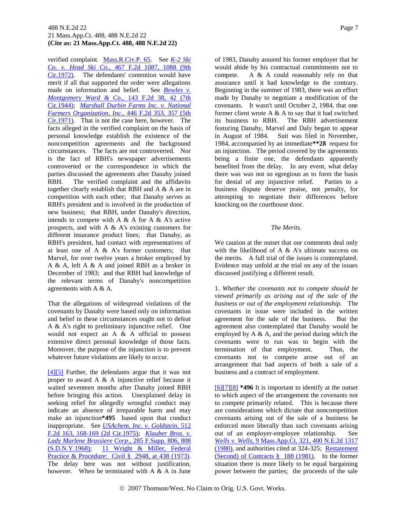#### 488 N.E.2d 22 Page 7 21 Mass.App.Ct. 488, 488 N.E.2d 22 **(Cite as: 21 Mass.App.Ct. 488, 488 N.E.2d 22)**

verified complaint. [Mass.R.Civ.P. 65.](http://www.westlaw.com/Find/Default.wl?rs=dfa1.0&vr=2.0&DB=1000042&DocName=MASTRCPR65&FindType=L) See *[K-2 Ski](http://www.westlaw.com/Find/Default.wl?rs=dfa1.0&vr=2.0&DB=350&FindType=Y&ReferencePositionType=S&SerialNum=1972112275&ReferencePosition=1088)  [Co. v. Head Ski Co.,](http://www.westlaw.com/Find/Default.wl?rs=dfa1.0&vr=2.0&DB=350&FindType=Y&ReferencePositionType=S&SerialNum=1972112275&ReferencePosition=1088)* [467 F.2d 1087, 1088 \(9th](http://www.westlaw.com/Find/Default.wl?rs=dfa1.0&vr=2.0&DB=350&FindType=Y&ReferencePositionType=S&SerialNum=1972112275&ReferencePosition=1088)  Cir.1972). The defendants' contention would have merit if all that supported the order were allegations made on information and belief. See *[Bowles v.](http://www.westlaw.com/Find/Default.wl?rs=dfa1.0&vr=2.0&DB=350&FindType=Y&ReferencePositionType=S&SerialNum=1944201812&ReferencePosition=42)  [Montgomery Ward & Co.,](http://www.westlaw.com/Find/Default.wl?rs=dfa1.0&vr=2.0&DB=350&FindType=Y&ReferencePositionType=S&SerialNum=1944201812&ReferencePosition=42)* [143 F.2d 38, 42 \(7th](http://www.westlaw.com/Find/Default.wl?rs=dfa1.0&vr=2.0&DB=350&FindType=Y&ReferencePositionType=S&SerialNum=1944201812&ReferencePosition=42)  Cir.1944); *[Marshall Durbin Farms Inc. v. National](http://www.westlaw.com/Find/Default.wl?rs=dfa1.0&vr=2.0&DB=350&FindType=Y&ReferencePositionType=S&SerialNum=1971111622&ReferencePosition=357)  [Farmers Organization, Inc.,](http://www.westlaw.com/Find/Default.wl?rs=dfa1.0&vr=2.0&DB=350&FindType=Y&ReferencePositionType=S&SerialNum=1971111622&ReferencePosition=357)* [446 F.2d 353, 357 \(5th](http://www.westlaw.com/Find/Default.wl?rs=dfa1.0&vr=2.0&DB=350&FindType=Y&ReferencePositionType=S&SerialNum=1971111622&ReferencePosition=357)  Cir.1971). That is not the case here, however. The facts alleged in the verified complaint on the basis of personal knowledge establish the existence of the noncompetition agreements and the background circumstances. The facts are not controverted. Nor is the fact of RBH's newspaper advertisements controverted or the correspondence in which the parties discussed the agreements after Danahy joined RBH. The verified complaint and the affidavits together clearly establish that RBH and A & A are in competition with each other; that Danahy serves as RBH's president and is involved in the production of new business; that RBH, under Danahy's direction, intends to compete with A  $\&$  A for A  $\&$  A's active prospects, and with A & A's existing customers for different insurance product lines; that Danahy, as RBH's president, had contact with representatives of at least one of A & A's former customers; that Marvel, for over twelve years a broker employed by A & A, left A & A and joined RBH as a broker in December of 1983; and that RBH had knowledge of the relevant terms of Danahy's noncompetition agreements with A & A.

That the allegations of widespread violations of the covenants by Danahy were based only on information and belief in these circumstances ought not to defeat A & A's right to preliminary injunctive relief. One would not expect an A & A official to possess extensive direct personal knowledge of those facts. Moreover, the purpose of the injunction is to prevent whatever future violations are likely to occur.

<span id="page-13-1"></span><span id="page-13-0"></span>[\[4\]\[5\]](#page-8-0) Further, the defendants argue that it was not proper to award A & A injunctive relief because it waited seventeen months after Danahy joined RBH before bringing this action. Unexplained delay in seeking relief for allegedly wrongful conduct may indicate an absence of irreparable harm and may make an injunction**\*495** based upon that conduct inappropriate. See *[USAchem, Inc. v. Goldstein,](http://www.westlaw.com/Find/Default.wl?rs=dfa1.0&vr=2.0&DB=350&FindType=Y&ReferencePositionType=S&SerialNum=1975109972&ReferencePosition=168)* [512](http://www.westlaw.com/Find/Default.wl?rs=dfa1.0&vr=2.0&DB=350&FindType=Y&ReferencePositionType=S&SerialNum=1975109972&ReferencePosition=168)  F.2d 163, 168-169 (2d Cir.1975); *[Klauber Bros. v.](http://www.westlaw.com/Find/Default.wl?rs=dfa1.0&vr=2.0&DB=345&FindType=Y&ReferencePositionType=S&SerialNum=1968113861&ReferencePosition=808)  [Lady Marlene Brassiere Corp.,](http://www.westlaw.com/Find/Default.wl?rs=dfa1.0&vr=2.0&DB=345&FindType=Y&ReferencePositionType=S&SerialNum=1968113861&ReferencePosition=808)* [285 F.Supp. 806, 808](http://www.westlaw.com/Find/Default.wl?rs=dfa1.0&vr=2.0&DB=345&FindType=Y&ReferencePositionType=S&SerialNum=1968113861&ReferencePosition=808)  (S.D.N.Y.1968); [11 Wright & Miller, Federal](http://www.westlaw.com/Find/Default.wl?rs=dfa1.0&vr=2.0&DB=0102228&FindType=Y&SerialNum=0105638982)  [Practice & Procedure: Civil § 2948, at 438 \(1973\).](http://www.westlaw.com/Find/Default.wl?rs=dfa1.0&vr=2.0&DB=0102228&FindType=Y&SerialNum=0105638982) The delay here was not without justification, however. When he terminated with A & A in June

of 1983, Danahy assured his former employer that he would abide by his contractual commitments not to compete. A & A could reasonably rely on that assurance until it had knowledge to the contrary. Beginning in the summer of 1983, there was an effort made by Danahy to negotiate a modification of the covenants. It wasn't until October 2, 1984, that one former client wrote  $A \& A$  to say that it had switched its business to RBH. The RBH advertisement featuring Danahy, Marvel and Daly began to appear in August of 1984. Suit was filed in November, 1984, accompanied by an immediate**\*\*28** request for an injunction. The period covered by the agreements being a finite one, the defendants apparently benefited from the delay. In any event, what delay there was was not so egregious as to form the basis for denial of any injunctive relief. Parties to a business dispute deserve praise, not penalty, for attempting to negotiate their differences before knocking on the courthouse door.

#### *The Merits.*

We caution at the outset that our comments deal only with the likelihood of A  $\&$  A's ultimate success on the merits. A full trial of the issues is contemplated. Evidence may unfold at the trial on any of the issues discussed justifying a different result.

1. *Whether the covenants not to compete should be viewed primarily as arising out of the sale of the business or out of the employment relationship.* The covenants in issue were included in the written agreement for the sale of the business. But the agreement also contemplated that Danahy would be employed by  $A \& A$ , and the period during which the covenants were to run was to begin with the termination of that employment. Thus, the covenants not to compete arose out of an arrangement that had aspects of both a sale of a business and a contract of employment.

<span id="page-13-4"></span><span id="page-13-3"></span><span id="page-13-2"></span>[\[6\]\[7\]](#page-8-1)[\[8\]](#page-8-2) **\*496** It is important to identify at the outset to which aspect of the arrangement the covenants not to compete primarily related. This is because there are considerations which dictate that noncompetition covenants arising out of the sale of a business be enforced more liberally than such covenants arising out of an employer-employee relationship. See *[Wells v. Wells,](http://www.westlaw.com/Find/Default.wl?rs=dfa1.0&vr=2.0&DB=578&FindType=Y&SerialNum=1980103498)* [9 Mass.App.Ct. 321, 400 N.E.2d 1317](http://www.westlaw.com/Find/Default.wl?rs=dfa1.0&vr=2.0&DB=578&FindType=Y&SerialNum=1980103498)  (1980), and authorities cited at 324-325; Restatement [\(Second\) of Contracts § 188 \(1981\).](http://www.westlaw.com/Find/Default.wl?rs=dfa1.0&vr=2.0&DB=0101603&FindType=Y&SerialNum=0289907140) In the former situation there is more likely to be equal bargaining power between the parties; the proceeds of the sale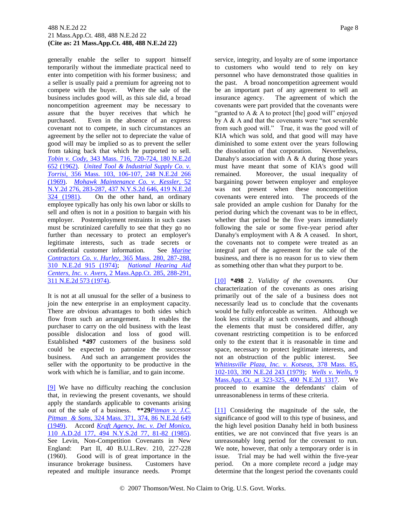#### 488 N.E.2d 22 Page 8 21 Mass.App.Ct. 488, 488 N.E.2d 22 **(Cite as: 21 Mass.App.Ct. 488, 488 N.E.2d 22)**

generally enable the seller to support himself temporarily without the immediate practical need to enter into competition with his former business; and a seller is usually paid a premium for agreeing not to compete with the buyer. Where the sale of the business includes good will, as this sale did, a broad noncompetition agreement may be necessary to assure that the buyer receives that which he purchased. Even in the absence of an express covenant not to compete, in such circumstances an agreement by the seller not to depreciate the value of good will may be implied so as to prevent the seller from taking back that which he purported to sell. *[Tobin v. Cody,](http://www.westlaw.com/Find/Default.wl?rs=dfa1.0&vr=2.0&DB=578&FindType=Y&SerialNum=1962117018)* [343 Mass. 716, 720-724, 180 N.E.2d](http://www.westlaw.com/Find/Default.wl?rs=dfa1.0&vr=2.0&DB=578&FindType=Y&SerialNum=1962117018)  652 (1962). *[United Tool & Industrial Supply Co. v.](http://www.westlaw.com/Find/Default.wl?rs=dfa1.0&vr=2.0&DB=578&FindType=Y&SerialNum=1969122663)  [Torrisi,](http://www.westlaw.com/Find/Default.wl?rs=dfa1.0&vr=2.0&DB=578&FindType=Y&SerialNum=1969122663)* [356 Mass. 103, 106-107, 248 N.E.2d 266](http://www.westlaw.com/Find/Default.wl?rs=dfa1.0&vr=2.0&DB=578&FindType=Y&SerialNum=1969122663)  (1969). *[Mohawk Maintenance Co. v. Kessler,](http://www.westlaw.com/Find/Default.wl?rs=dfa1.0&vr=2.0&DB=578&FindType=Y&SerialNum=1981117448)* [52](http://www.westlaw.com/Find/Default.wl?rs=dfa1.0&vr=2.0&DB=578&FindType=Y&SerialNum=1981117448)  N.Y.2d 276, 283-287, 437 N.Y.S.2d 646, 419 N.E.2d<br>324 (1981). On the other hand, an ordinary On the other hand, an ordinary employee typically has only his own labor or skills to sell and often is not in a position to bargain with his employer. Postemployment restraints in such cases must be scrutinized carefully to see that they go no further than necessary to protect an employer's legitimate interests, such as trade secrets or confidential customer information. See *[Marine](http://www.westlaw.com/Find/Default.wl?rs=dfa1.0&vr=2.0&DB=578&FindType=Y&SerialNum=1974114383)  [Contractors Co. v. Hurley,](http://www.westlaw.com/Find/Default.wl?rs=dfa1.0&vr=2.0&DB=578&FindType=Y&SerialNum=1974114383)* [365 Mass. 280, 287-288,](http://www.westlaw.com/Find/Default.wl?rs=dfa1.0&vr=2.0&DB=578&FindType=Y&SerialNum=1974114383)  310 N.E.2d 915 (1974); *[National Hearing Aid](http://www.westlaw.com/Find/Default.wl?rs=dfa1.0&vr=2.0&DB=578&FindType=Y&SerialNum=1974114524)  [Centers, Inc. v. Avers,](http://www.westlaw.com/Find/Default.wl?rs=dfa1.0&vr=2.0&DB=578&FindType=Y&SerialNum=1974114524)* [2 Mass.App.Ct. 285, 288-291,](http://www.westlaw.com/Find/Default.wl?rs=dfa1.0&vr=2.0&DB=578&FindType=Y&SerialNum=1974114524)  311 N.E.2d 573 (1974).

It is not at all unusual for the seller of a business to join the new enterprise in an employment capacity. There are obvious advantages to both sides which flow from such an arrangement. It enables the purchaser to carry on the old business with the least possible dislocation and loss of good will. Established **\*497** customers of the business sold could be expected to patronize the successor business. And such an arrangement provides the seller with the opportunity to be productive in the work with which he is familiar, and to gain income.

<span id="page-14-0"></span>[\[9\]](#page-8-3) We have no difficulty reaching the conclusion that, in reviewing the present covenants, we should apply the standards applicable to covenants arising out of the sale of a business. **\*\*29***[Pitman v. J.C.](http://www.westlaw.com/Find/Default.wl?rs=dfa1.0&vr=2.0&DB=578&FindType=Y&SerialNum=1949108543)  [Pitman & Sons,](http://www.westlaw.com/Find/Default.wl?rs=dfa1.0&vr=2.0&DB=578&FindType=Y&SerialNum=1949108543)* [324 Mass. 371, 374, 86 N.E.2d 649](http://www.westlaw.com/Find/Default.wl?rs=dfa1.0&vr=2.0&DB=578&FindType=Y&SerialNum=1949108543)  (1949). Accord *[Kraft Agency, Inc. v. Del Monico,](http://www.westlaw.com/Find/Default.wl?rs=dfa1.0&vr=2.0&DB=602&FindType=Y&ReferencePositionType=S&SerialNum=1985148063&ReferencePosition=81)* 110 A.D.2d 177, 494 N.Y.S.2d 77, 81-82 (1985). See Levin, Non-Competition Covenants in New England: Part II, 40 B.U.L.Rev. 210, 227-228 (1960). Good will is of great importance in the insurance brokerage business. Customers have repeated and multiple insurance needs. Prompt

service, integrity, and loyalty are of some importance to customers who would tend to rely on key personnel who have demonstrated those qualities in the past. A broad noncompetition agreement would be an important part of any agreement to sell an insurance agency. The agreement of which the covenants were part provided that the covenants were "granted to A  $\&$  A to protect [the] good will" enjoyed by A & A and that the covenants were "not severable from such good will." True, it was the good will of KIA which was sold, and that good will may have diminished to some extent over the years following the dissolution of that corporation. Nevertheless, Danahy's association with  $A \& A$  during those years must have meant that some of KIA's good will remained. Moreover, the usual inequality of bargaining power between employer and employee

was not present when these noncompetition covenants were entered into. The proceeds of the sale provided an ample cushion for Danahy for the period during which the covenant was to be in effect, whether that period be the five years immediately following the sale or some five-year period after Danahy's employment with  $A \& A$  ceased. In short, the covenants not to compete were treated as an integral part of the agreement for the sale of the business, and there is no reason for us to view them as something other than what they purport to be.

<span id="page-14-1"></span>[\[10\]](#page-9-0) **\*498** 2. *Validity of the covenants.* Our characterization of the covenants as ones arising primarily out of the sale of a business does not necessarily lead us to conclude that the covenants would be fully enforceable as written. Although we look less critically at such covenants, and although the elements that must be considered differ, any covenant restricting competition is to be enforced only to the extent that it is reasonable in time and space, necessary to protect legitimate interests, and not an obstruction of the public interest. See *[Whitinsville Plaza, Inc. v. Kotseas,](http://www.westlaw.com/Find/Default.wl?rs=dfa1.0&vr=2.0&DB=578&FindType=Y&SerialNum=1979121021)* [378 Mass. 85,](http://www.westlaw.com/Find/Default.wl?rs=dfa1.0&vr=2.0&DB=578&FindType=Y&SerialNum=1979121021)  102-103, 390 N.E.2d 243 (1979); *[Wells v. Wells,](http://www.westlaw.com/Find/Default.wl?rs=dfa1.0&vr=2.0&DB=578&FindType=Y&SerialNum=1980103498)* [9](http://www.westlaw.com/Find/Default.wl?rs=dfa1.0&vr=2.0&DB=578&FindType=Y&SerialNum=1980103498)  Mass.App.Ct. at 323-325, 400 N.E.2d 1317. We proceed to examine the defendants' claim of unreasonableness in terms of these criteria.

<span id="page-14-2"></span>[\[11\]](#page-9-1) Considering the magnitude of the sale, the significance of good will to this type of business, and the high level position Danahy held in both business entities, we are not convinced that five years is an unreasonably long period for the covenant to run. We note, however, that only a temporary order is in issue. Trial may be had well within the five-year period. On a more complete record a judge may determine that the longest period the covenants could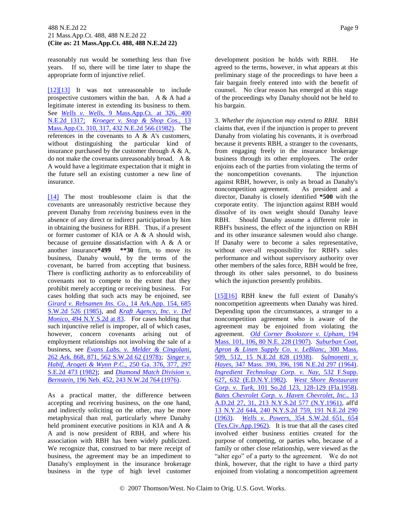reasonably run would be something less than five years. If so, there will be time later to shape the appropriate form of injunctive relief.

<span id="page-15-1"></span><span id="page-15-0"></span>[\[12\]\[13\]](#page-9-2) It was not unreasonable to include prospective customers within the ban. A & A had a legitimate interest in extending its business to them. See *[Wells v. Wells,](http://www.westlaw.com/Find/Default.wl?rs=dfa1.0&vr=2.0&DB=578&FindType=Y&SerialNum=1980103498)* [9 Mass.App.Ct. at 326, 400](http://www.westlaw.com/Find/Default.wl?rs=dfa1.0&vr=2.0&DB=578&FindType=Y&SerialNum=1980103498)  N.E.2d 1317; *[Kroeger v. Stop & Shop Cos.,](http://www.westlaw.com/Find/Default.wl?rs=dfa1.0&vr=2.0&DB=578&FindType=Y&SerialNum=1982112396)* [13](http://www.westlaw.com/Find/Default.wl?rs=dfa1.0&vr=2.0&DB=578&FindType=Y&SerialNum=1982112396)  Mass.App.Ct. 310, 317, 432 N.E.2d 566 (1982). The references in the covenants to A & A's customers, without distinguishing the particular kind of insurance purchased by the customer through A & A, do not make the covenants unreasonably broad. A & A would have a legitimate expectation that it might in the future sell an existing customer a new line of insurance.

<span id="page-15-2"></span>[\[14\]](#page-9-3) The most troublesome claim is that the covenants are unreasonably restrictive because they prevent Danahy from *receiving* business even in the absence of any direct or indirect participation by him in obtaining the business for RBH. Thus, if a present or former customer of KIA or A & A should wish, because of genuine dissatisfaction with A & A or another insurance**\*499 \*\*30** firm, to move its business, Danahy would, by the terms of the covenant, be barred from accepting that business. There is conflicting authority as to enforceability of covenants not to compete to the extent that they prohibit merely accepting or receiving business. For cases holding that such acts may be enjoined, see *[Girard v. Rebsamen Ins. Co.,](http://www.westlaw.com/Find/Default.wl?rs=dfa1.0&vr=2.0&DB=713&FindType=Y&SerialNum=1985113397)* [14 Ark.App. 154, 685](http://www.westlaw.com/Find/Default.wl?rs=dfa1.0&vr=2.0&DB=713&FindType=Y&SerialNum=1985113397)  S.W.2d 526 (1985), and *[Kraft Agency, Inc. v. Del](http://www.westlaw.com/Find/Default.wl?rs=dfa1.0&vr=2.0&DB=602&FindType=Y&ReferencePositionType=S&SerialNum=1985148063&ReferencePosition=83)  [Monico,](http://www.westlaw.com/Find/Default.wl?rs=dfa1.0&vr=2.0&DB=602&FindType=Y&ReferencePositionType=S&SerialNum=1985148063&ReferencePosition=83)* [494 N.Y.S.2d at 83.](http://www.westlaw.com/Find/Default.wl?rs=dfa1.0&vr=2.0&DB=602&FindType=Y&ReferencePositionType=S&SerialNum=1985148063&ReferencePosition=83) For cases holding that such injunctive relief is improper, all of which cases, however, concern covenants arising out of employment relationships not involving the sale of a business, see *[Evans Labs. v. Melder & Cingolani,](http://www.westlaw.com/Find/Default.wl?rs=dfa1.0&vr=2.0&DB=713&FindType=Y&SerialNum=1978111258)* 262 Ark. 868, 871, 562 S.W.2d 62 (1978); *[Singer v.](http://www.westlaw.com/Find/Default.wl?rs=dfa1.0&vr=2.0&DB=711&FindType=Y&SerialNum=1982152126)  [Habif, Arogeti & Wynn P.C.,](http://www.westlaw.com/Find/Default.wl?rs=dfa1.0&vr=2.0&DB=711&FindType=Y&SerialNum=1982152126)* [250 Ga. 376, 377, 297](http://www.westlaw.com/Find/Default.wl?rs=dfa1.0&vr=2.0&DB=711&FindType=Y&SerialNum=1982152126)  S.E.2d 473 (1982); and *[Diamond Match Division v.](http://www.westlaw.com/Find/Default.wl?rs=dfa1.0&vr=2.0&DB=595&FindType=Y&SerialNum=1976148427)  [Bernstein,](http://www.westlaw.com/Find/Default.wl?rs=dfa1.0&vr=2.0&DB=595&FindType=Y&SerialNum=1976148427)* [196 Neb. 452, 243 N.W.2d 764 \(1976\).](http://www.westlaw.com/Find/Default.wl?rs=dfa1.0&vr=2.0&DB=595&FindType=Y&SerialNum=1976148427)

As a practical matter, the difference between accepting and receiving business, on the one hand, and indirectly soliciting on the other, may be more metaphysical than real, particularly where Danahy held prominent executive positions in KIA and A & A and is now president of RBH, and where his association with RBH has been widely publicized. We recognize that, construed to bar mere receipt of business, the agreement may be an impediment to Danahy's employment in the insurance brokerage business in the type of high level customer development position he holds with RBH. He agreed to the terms, however, in what appears at this preliminary stage of the proceedings to have been a fair bargain freely entered into with the benefit of counsel. No clear reason has emerged at this stage of the proceedings why Danahy should not be held to his bargain.

3. *Whether the injunction may extend to RBH.* RBH claims that, even if the injunction is proper to prevent Danahy from violating his covenants, it is overbroad because it prevents RBH, a stranger to the covenants, from engaging freely in the insurance brokerage business through its other employees. The order enjoins each of the parties from violating the terms of the noncompetition covenants. The injunction against RBH, however, is only as broad as Danahy's noncompetition agreement. As president and a director, Danahy is closely identified **\*500** with the corporate entity. The injunction against RBH would dissolve of its own weight should Danahy leave RBH. Should Danahy assume a different role in RBH's business, the effect of the injunction on RBH and its other insurance salesmen would also change. If Danahy were to become a sales representative, without over-all responsibility for RBH's sales performance and without supervisory authority over other members of the sales force, RBH would be free, through its other sales personnel, to do business which the injunction presently prohibits.

<span id="page-15-4"></span><span id="page-15-3"></span>[\[15\]\[16\]](#page-10-0) RBH knew the full extent of Danahy's noncompetition agreements when Danahy was hired. Depending upon the circumstances, a stranger to a noncompetition agreement who is aware of the agreement may be enjoined from violating the agreement. *[Old Corner Bookstore v. Upham,](http://www.westlaw.com/Find/Default.wl?rs=dfa1.0&vr=2.0&DB=577&FindType=Y&SerialNum=1907003117)* [194](http://www.westlaw.com/Find/Default.wl?rs=dfa1.0&vr=2.0&DB=577&FindType=Y&SerialNum=1907003117)  Mass. 101, 106, 80 N.E. 228 (1907). *[Suburban Coat,](http://www.westlaw.com/Find/Default.wl?rs=dfa1.0&vr=2.0&DB=578&FindType=Y&SerialNum=1938113072)  [Apron & Linen Supply Co. v. LeBlanc,](http://www.westlaw.com/Find/Default.wl?rs=dfa1.0&vr=2.0&DB=578&FindType=Y&SerialNum=1938113072)* [300 Mass.](http://www.westlaw.com/Find/Default.wl?rs=dfa1.0&vr=2.0&DB=578&FindType=Y&SerialNum=1938113072)  509, 512, 15 N.E.2d 828 (1938). *[Sulmonetti v.](http://www.westlaw.com/Find/Default.wl?rs=dfa1.0&vr=2.0&DB=578&FindType=Y&SerialNum=1964116961)  [Hayes,](http://www.westlaw.com/Find/Default.wl?rs=dfa1.0&vr=2.0&DB=578&FindType=Y&SerialNum=1964116961)* [347 Mass. 390, 396, 198 N.E.2d 297 \(1964\).](http://www.westlaw.com/Find/Default.wl?rs=dfa1.0&vr=2.0&DB=578&FindType=Y&SerialNum=1964116961) *[Ingredient Technology Corp. v. Nay,](http://www.westlaw.com/Find/Default.wl?rs=dfa1.0&vr=2.0&DB=345&FindType=Y&ReferencePositionType=S&SerialNum=1982107959&ReferencePosition=632)* [532 F.Supp.](http://www.westlaw.com/Find/Default.wl?rs=dfa1.0&vr=2.0&DB=345&FindType=Y&ReferencePositionType=S&SerialNum=1982107959&ReferencePosition=632)  627, 632 (E.D.N.Y.1982). *[West Shore Restaurant](http://www.westlaw.com/Find/Default.wl?rs=dfa1.0&vr=2.0&DB=735&FindType=Y&ReferencePositionType=S&SerialNum=1958126122&ReferencePosition=128)  [Corp. v. Turk,](http://www.westlaw.com/Find/Default.wl?rs=dfa1.0&vr=2.0&DB=735&FindType=Y&ReferencePositionType=S&SerialNum=1958126122&ReferencePosition=128)* [101 So.2d 123, 128-129 \(Fla.1958\).](http://www.westlaw.com/Find/Default.wl?rs=dfa1.0&vr=2.0&DB=735&FindType=Y&ReferencePositionType=S&SerialNum=1958126122&ReferencePosition=128) *[Bates Chevrolet Corp. v. Haven Chevrolet, Inc.,](http://www.westlaw.com/Find/Default.wl?rs=dfa1.0&vr=2.0&DB=602&FindType=Y&SerialNum=1961120646)* [13](http://www.westlaw.com/Find/Default.wl?rs=dfa1.0&vr=2.0&DB=602&FindType=Y&SerialNum=1961120646)  A.D.2d 27, 31, 213 N.Y.S.2d 577 (N.Y.1961), aff'd [13 N.Y.2d 644, 240 N.Y.S.2d 759, 191 N.E.2d 290](http://www.westlaw.com/Find/Default.wl?rs=dfa1.0&vr=2.0&DB=578&FindType=Y&SerialNum=1963204798)  [\(1963\).](http://www.westlaw.com/Find/Default.wl?rs=dfa1.0&vr=2.0&DB=578&FindType=Y&SerialNum=1963204798) *[Wells v. Powers,](http://www.westlaw.com/Find/Default.wl?rs=dfa1.0&vr=2.0&DB=713&FindType=Y&ReferencePositionType=S&SerialNum=1961130609&ReferencePosition=654)* [354 S.W.2d 651, 654](http://www.westlaw.com/Find/Default.wl?rs=dfa1.0&vr=2.0&DB=713&FindType=Y&ReferencePositionType=S&SerialNum=1961130609&ReferencePosition=654)  (Tex.Civ.App.1962). It is true that all the cases cited involved either business entities created for the purpose of competing, or parties who, because of a family or other close relationship, were viewed as the "alter ego" of a party to the agreement. We do not think, however, that the right to have a third party enjoined from violating a noncompetition agreement